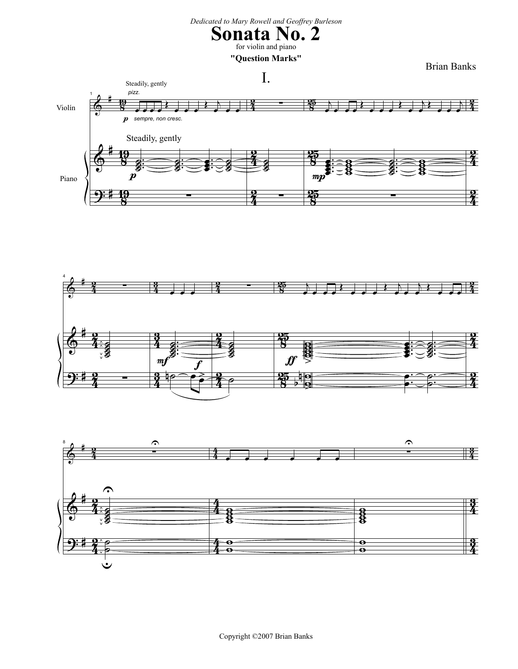## *Dedicated to Mary Rowell and Geoffrey Burleson*

## **Sonata No. 2** for violin and piano

**"Question Marks"**





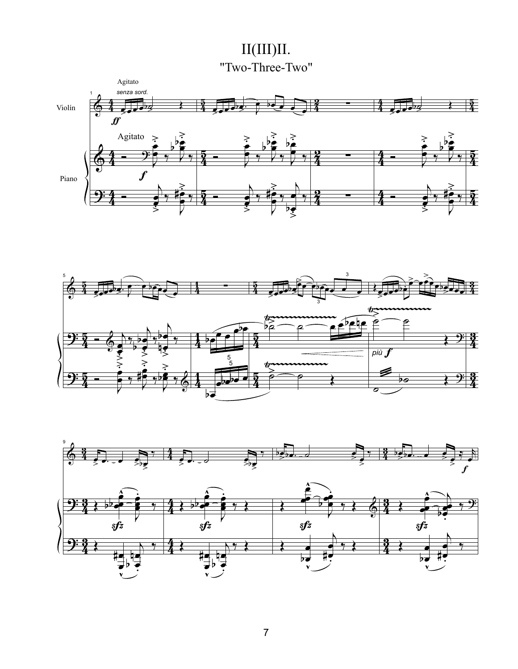II(III)II. "Two-Three-Two"